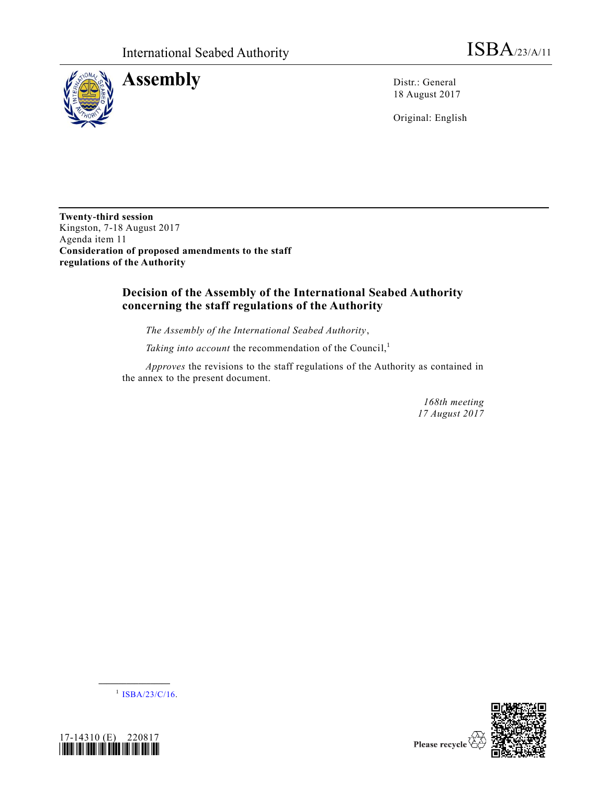

**Assembly** Distr.: General

18 August 2017

Original: English

**Twenty-third session** Kingston, 7-18 August 2017 Agenda item 11 **Consideration of proposed amendments to the staff regulations of the Authority**

# **Decision of the Assembly of the International Seabed Authority concerning the staff regulations of the Authority**

*The Assembly of the International Seabed Authority*,

Taking into account the recommendation of the Council,<sup>1</sup>

*Approves* the revisions to the staff regulations of the Authority as contained in the annex to the present document.

> *168th meeting 17 August 2017*

 $^{1}$  [ISBA/23/C/16.](https://undocs.org/ISBA/23/C/16)

**\_\_\_\_\_\_\_\_\_\_\_\_\_\_\_\_\_\_**